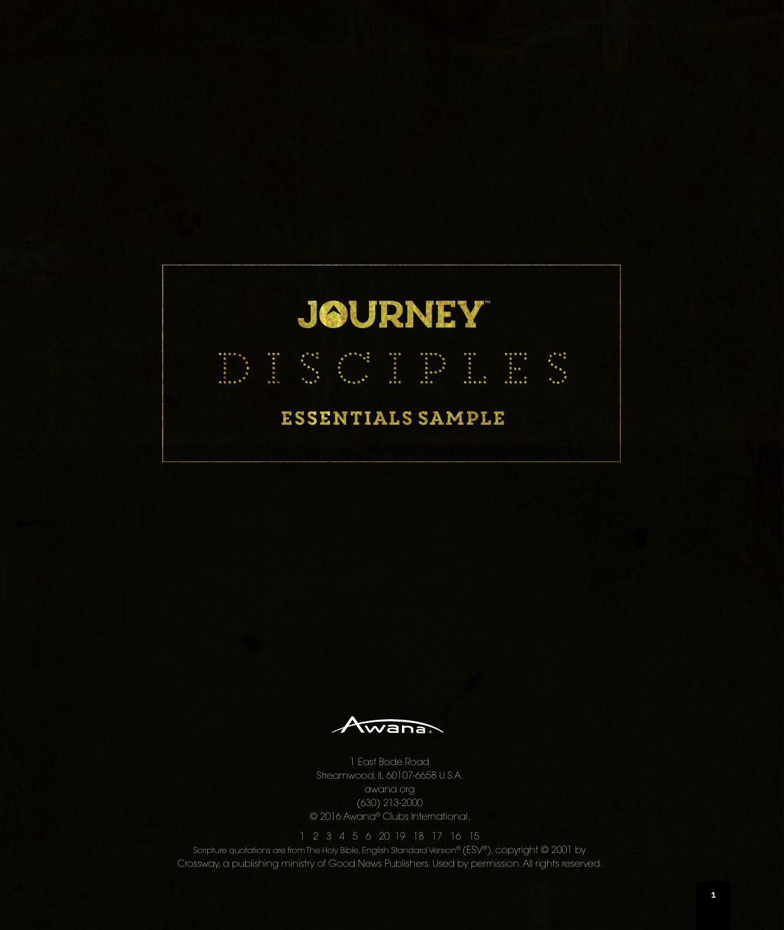

Awana

1 East Bode Road Streamwood, IL 60107-6658 U.S.A. awana.org (630) 213-2000 © 2016 Awana® Clubs International.

Scripture quotations are from The Holy Bible, English Standard Version® (ESV®), copyright © 2001 by Crossway, a publishing ministry of Good News Publishers. Used by permission. All rights reserved.